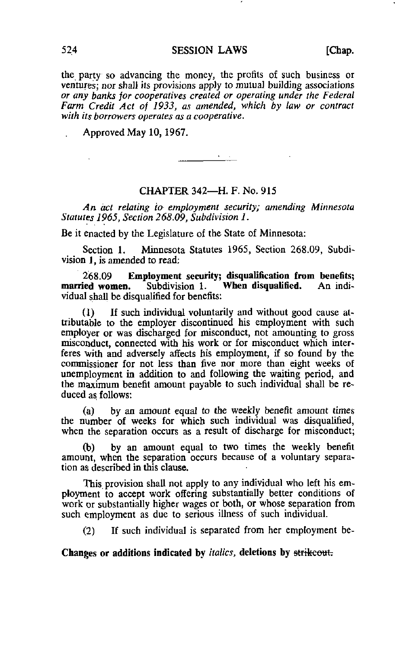the party so advancing the money, the profits of such business or ventures; nor shall its provisions apply to mutual building associations or any banks for cooperatives created or operating under the Federal Farm Credit Act of 1933, as amended, which by law or contract with its borrowers operates as a cooperative.

Approved May 10,1967.

## CHAPTER 342—H. F. No. 915

 $\frac{1}{\sqrt{1-\frac{1}{2}}}\left( \frac{1}{\sqrt{1-\frac{1}{2}}}\right) \left( \frac{1}{\sqrt{1-\frac{1}{2}}}\right)$ 

An act relating to employment security; amending Minnesota Statutes 1965, Section 268.09, Subdivision 1.

Be it enacted by the Legislature of the State of Minnesota:

Section 1. Minnesota Statutes 1965, Section 268.09, Subdivision 1, is amended to read;

268.09 Employment security; disqualification from benefits;<br>married women. Subdivision 1. When disqualified. An indi-Subdivision 1. When disqualified. vidual shall be disqualified for benefits:

(1) If such individual voluntarily and without good cause attributable to the employer discontinued his employment with such employer or was discharged for misconduct, not amounting to gross misconduct, connected with his work or for misconduct which interferes with and adversely affects his employment, if so found by the commissioner for not less than five nor more than eight weeks of unemployment in addition to and following the waiting period, and the maximum benefit amount payable to such individual shall be reduced as follows:

(a) by an amount equal to the weekly benefit amount times the number of weeks for which such individual was disqualified, when the separation occurs as a result of discharge for misconduct;

by an amount equal to two times the weekly benefit amount, when the separation occurs because of a voluntary separation as described in this clause.

This provision shall not apply to any individual who left his employment to accept work offering substantially better conditions of work or substantially higher wages or both, or whose separation from such employment as due to serious illness of such individual.

(2) If such individual is separated from her employment be-

Changes or additions indicated by *italics*, deletions by strikeout.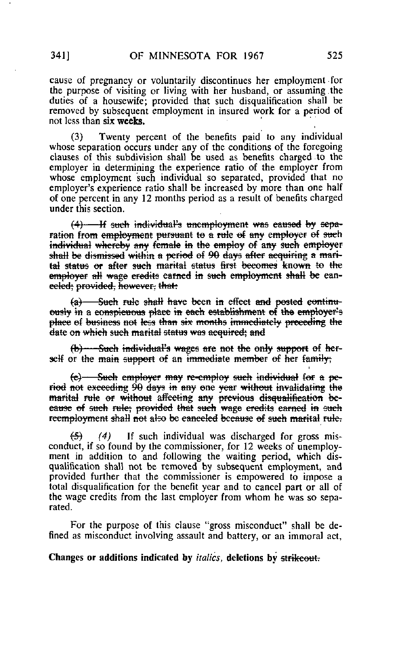cause of pregnancy or voluntarily discontinues her employment for the purpose of visiting or living with her husband, or assuming .the duties of a housewife; provided that such disqualification shall be removed by subsequent employment in insured work for a period of not less than six weeks.

(3) Twenty percent of the benefits paid to any individual whose separation occurs under any of the conditions of the foregoing clauses of this subdivision shall be used as benefits charged to the employer in determining the experience ratio of the employer from whose employment such individual so separated, provided that no employer's experience ratio shall be increased by more than one half of one percent in any 12 months period as a result of benefits charged under this section.

 $(4)$  - If such individual's unemployment was caused by separation from employment pursuant to a rule of any employer of such individual whereby any female in the employ of any such employer shall be dismissed within a period of 90 days after acquiring a marital status or after such marital status first becomes known to the employer all wage credits carned in such employment shall be eaneeled; provided, however, that:

 $(a)$  - Such rule shall have been in effect and posted continuously in a conspicuous place in each establishment of the employer's place el business net less than six months immediately preceding the date en which such marital status was acquired; and

 $(b)$  - Such individual's wages are not the only support of herself or the main support of an immediate member of her family;

(e) - Such employe? may re-employ such tndividuat for a period net exceeding 90 days in any one year without invalidating the marital rule or without affecting any previous disqualification beeause of such rule; provided that such wage credits earned in such reemployment shall not also be canceled because of such marital rule.

 $(4)$  If such individual was discharged for gross misconduct, if so found by the commissioner, for 12 weeks of unemployment in addition to and following the waiting period, which disqualification shall not be removed by subsequent employment, and provided further that the commissioner is empowered to impose a total disqualification for the benefit year and to cancel part or all of the wage credits from the last employer from whom he was so separated.

For the purpose of this clause "gross misconduct" shall be defined as misconduct involving assault and battery, or an immoral act,

Changes or additions indicated by *italics*, deletions by strikeout.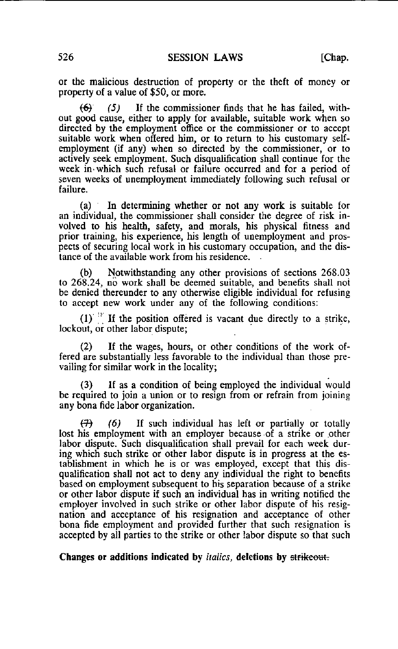or the malicious destruction of property or the theft of money or property of a value of \$50, or more.

 $(6)$  (5) If the commissioner finds that he has failed, without good cause, either to apply for available, suitable work when so directed by the employment office or the commissioner or to accept suitable work when offered him, or to return to his customary selfemployment (if any) when so directed by the commissioner, or to actively seek employment. Such disqualification shall continue for the week in- which such refusal or failure occurred and for a period of seven weeks of unemployment immediately following such refusal or failure.

(a) In determining whether or not any work is suitable for an individual, the commissioner shall consider the degree of risk involved to his health, safety, and morals, his physical fitness and prior training, his experience, his length of unemployment and prospects of securing local work in his customary occupation, and the distance of the available work from his residence.

(b) Notwithstanding any other provisions of sections 268.03 to 268.24, no work shall be deemed suitable, and benefits shall not be denied thereunder to any otherwise eligible individual for refusing to accept new work under any of the following conditions:

 $(1)$ <sup>18</sup> If the position offered is vacant due directly to a strike, lockout, or other labor dispute;

(2) If the wages, hours, or other conditions of the work offered are substantially less favorable to the individual than those prevailing for similar work in the locality;

(3) If as a condition of being employed the individual would be required to join a union or to resign from or refrain from joining any bona fide labor organization.

 $(7)$  (6) If such individual has left or partially or totally lost his employment with an employer because of a strike or other labor dispute. Such disqualification shall prevail for each week during which such strike or other labor dispute is in progress at the establishment in which he is or was employed, except that this disqualification shall not act to deny any individual the right to benefits based on employment subsequent to his separation because of a strike or other labor dispute if such an individual has in writing notified the employer involved in such strike or other labor dispute of his resignation and acceptance of his resignation and acceptance of other bona fide employment and provided further that such resignation is accepted by all parties to the strike or other labor dispute so that such

Changes or additions indicated by *italics*, deletions by strikeout-